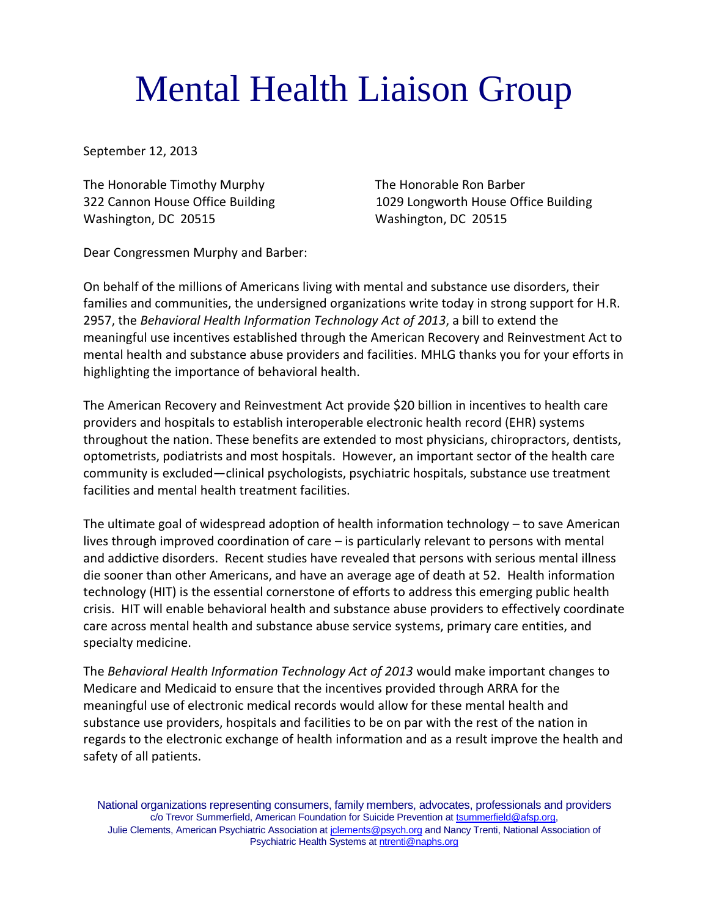## Mental Health Liaison Group

September 12, 2013

The Honorable Timothy Murphy The Honorable Ron Barber Washington, DC 20515 Washington, DC 20515

322 Cannon House Office Building 1029 Longworth House Office Building

Dear Congressmen Murphy and Barber:

On behalf of the millions of Americans living with mental and substance use disorders, their families and communities, the undersigned organizations write today in strong support for H.R. 2957, the *Behavioral Health Information Technology Act of 2013*, a bill to extend the meaningful use incentives established through the American Recovery and Reinvestment Act to mental health and substance abuse providers and facilities. MHLG thanks you for your efforts in highlighting the importance of behavioral health.

The American Recovery and Reinvestment Act provide \$20 billion in incentives to health care providers and hospitals to establish interoperable electronic health record (EHR) systems throughout the nation. These benefits are extended to most physicians, chiropractors, dentists, optometrists, podiatrists and most hospitals. However, an important sector of the health care community is excluded—clinical psychologists, psychiatric hospitals, substance use treatment facilities and mental health treatment facilities.

The ultimate goal of widespread adoption of health information technology – to save American lives through improved coordination of care – is particularly relevant to persons with mental and addictive disorders. Recent studies have revealed that persons with serious mental illness die sooner than other Americans, and have an average age of death at 52. Health information technology (HIT) is the essential cornerstone of efforts to address this emerging public health crisis. HIT will enable behavioral health and substance abuse providers to effectively coordinate care across mental health and substance abuse service systems, primary care entities, and specialty medicine.

The *Behavioral Health Information Technology Act of 2013* would make important changes to Medicare and Medicaid to ensure that the incentives provided through ARRA for the meaningful use of electronic medical records would allow for these mental health and substance use providers, hospitals and facilities to be on par with the rest of the nation in regards to the electronic exchange of health information and as a result improve the health and safety of all patients.

National organizations representing consumers, family members, advocates, professionals and providers c/o Trevor Summerfield, American Foundation for Suicide Prevention at [tsummerfield@afsp.org,](mailto:tsummerfield@afsp.org) Julie Clements, American Psychiatric Association a[t jclements@psych.org](mailto:jclements@psych.org) and Nancy Trenti, National Association of Psychiatric Health Systems a[t ntrenti@naphs.org](mailto:ntrenti@naphs.org)